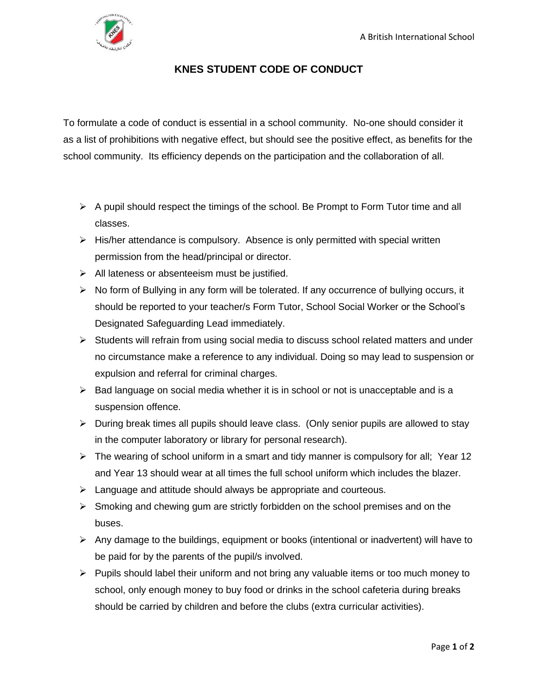

## **KNES STUDENT CODE OF CONDUCT**

To formulate a code of conduct is essential in a school community. No-one should consider it as a list of prohibitions with negative effect, but should see the positive effect, as benefits for the school community. Its efficiency depends on the participation and the collaboration of all.

- ➢ A pupil should respect the timings of the school. Be Prompt to Form Tutor time and all classes.
- ➢ His/her attendance is compulsory. Absence is only permitted with special written permission from the head/principal or director.
- $\triangleright$  All lateness or absenteeism must be justified.
- $\triangleright$  No form of Bullying in any form will be tolerated. If any occurrence of bullying occurs, it should be reported to your teacher/s Form Tutor, School Social Worker or the School's Designated Safeguarding Lead immediately.
- $\triangleright$  Students will refrain from using social media to discuss school related matters and under no circumstance make a reference to any individual. Doing so may lead to suspension or expulsion and referral for criminal charges.
- $\triangleright$  Bad language on social media whether it is in school or not is unacceptable and is a suspension offence.
- ➢ During break times all pupils should leave class. (Only senior pupils are allowed to stay in the computer laboratory or library for personal research).
- $\triangleright$  The wearing of school uniform in a smart and tidy manner is compulsory for all; Year 12 and Year 13 should wear at all times the full school uniform which includes the blazer.
- ➢ Language and attitude should always be appropriate and courteous.
- ➢ Smoking and chewing gum are strictly forbidden on the school premises and on the buses.
- ➢ Any damage to the buildings, equipment or books (intentional or inadvertent) will have to be paid for by the parents of the pupil/s involved.
- $\triangleright$  Pupils should label their uniform and not bring any valuable items or too much money to school, only enough money to buy food or drinks in the school cafeteria during breaks should be carried by children and before the clubs (extra curricular activities).